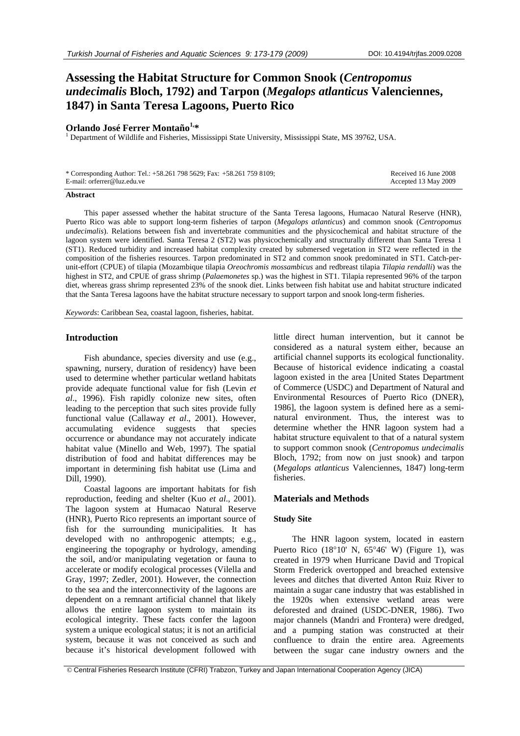# **Assessing the Habitat Structure for Common Snook (***Centropomus undecimalis* **Bloch, 1792) and Tarpon (***Megalops atlanticus* **Valenciennes, 1847) in Santa Teresa Lagoons, Puerto Rico**

# **Orlando José Ferrer Montaño1,\*** <sup>1</sup>

<sup>1</sup> Department of Wildlife and Fisheries, Mississippi State University, Mississippi State, MS 39762, USA.

| * Corresponding Author: Tel.: +58.261 798 5629; Fax: +58.261 759 8109; | Received 16 June 2008 |
|------------------------------------------------------------------------|-----------------------|
| E-mail: orferrer@luz.edu.ve                                            | Accepted 13 May 2009  |

#### **Abstract**

This paper assessed whether the habitat structure of the Santa Teresa lagoons, Humacao Natural Reserve (HNR), Puerto Rico was able to support long-term fisheries of tarpon (*Megalops atlanticus*) and common snook (*Centropomus undecimalis*). Relations between fish and invertebrate communities and the physicochemical and habitat structure of the lagoon system were identified. Santa Teresa 2 (ST2) was physicochemically and structurally different than Santa Teresa 1 (ST1). Reduced turbidity and increased habitat complexity created by submersed vegetation in ST2 were reflected in the composition of the fisheries resources. Tarpon predominated in ST2 and common snook predominated in ST1. Catch-perunit-effort (CPUE) of tilapia (Mozambique tilapia *Oreochromis mossambicus* and redbreast tilapia *Tilapia rendalli*) was the highest in ST2, and CPUE of grass shrimp (*Palaemonetes* sp.) was the highest in ST1. Tilapia represented 96% of the tarpon diet, whereas grass shrimp represented 23% of the snook diet. Links between fish habitat use and habitat structure indicated that the Santa Teresa lagoons have the habitat structure necessary to support tarpon and snook long-term fisheries.

*Keywords*: Caribbean Sea, coastal lagoon, fisheries, habitat.

#### **Introduction**

Fish abundance, species diversity and use (e.g., spawning, nursery, duration of residency) have been used to determine whether particular wetland habitats provide adequate functional value for fish (Levin *et al*., 1996). Fish rapidly colonize new sites, often leading to the perception that such sites provide fully functional value (Callaway *et al*., 2001). However, accumulating evidence suggests that species occurrence or abundance may not accurately indicate habitat value (Minello and Web, 1997). The spatial distribution of food and habitat differences may be important in determining fish habitat use (Lima and Dill, 1990).

Coastal lagoons are important habitats for fish reproduction, feeding and shelter (Kuo *et al*., 2001). The lagoon system at Humacao Natural Reserve (HNR), Puerto Rico represents an important source of fish for the surrounding municipalities. It has developed with no anthropogenic attempts; e.g., engineering the topography or hydrology, amending the soil, and/or manipulating vegetation or fauna to accelerate or modify ecological processes (Vilella and Gray, 1997; Zedler, 2001). However, the connection to the sea and the interconnectivity of the lagoons are dependent on a remnant artificial channel that likely allows the entire lagoon system to maintain its ecological integrity. These facts confer the lagoon system a unique ecological status; it is not an artificial system, because it was not conceived as such and because it's historical development followed with

little direct human intervention, but it cannot be considered as a natural system either, because an artificial channel supports its ecological functionality. Because of historical evidence indicating a coastal lagoon existed in the area [United States Department of Commerce (USDC) and Department of Natural and Environmental Resources of Puerto Rico (DNER), 1986], the lagoon system is defined here as a seminatural environment. Thus, the interest was to determine whether the HNR lagoon system had a habitat structure equivalent to that of a natural system to support common snook (*Centropomus undecimalis* Bloch, 1792; from now on just snook) and tarpon (*Megalops atlanticus* Valenciennes, 1847) long-term fisheries.

## **Materials and Methods**

### **Study Site**

The HNR lagoon system, located in eastern Puerto Rico  $(18^{\circ}10' \text{ N}, 65^{\circ}46' \text{ W})$  (Figure 1), was created in 1979 when Hurricane David and Tropical Storm Frederick overtopped and breached extensive levees and ditches that diverted Anton Ruiz River to maintain a sugar cane industry that was established in the 1920s when extensive wetland areas were deforested and drained (USDC-DNER, 1986). Two major channels (Mandri and Frontera) were dredged, and a pumping station was constructed at their confluence to drain the entire area. Agreements between the sugar cane industry owners and the

© Central Fisheries Research Institute (CFRI) Trabzon, Turkey and Japan International Cooperation Agency (JICA)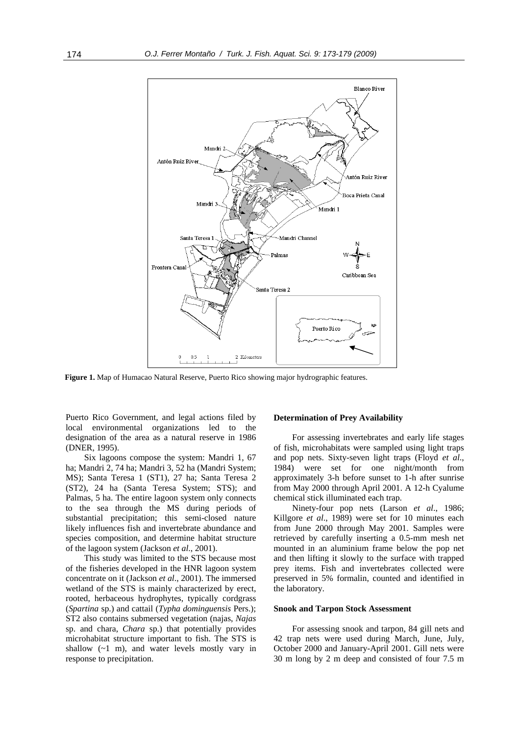

**Figure 1.** Map of Humacao Natural Reserve, Puerto Rico showing major hydrographic features.

Puerto Rico Government, and legal actions filed by local environmental organizations led to the designation of the area as a natural reserve in 1986 (DNER, 1995).

Six lagoons compose the system: Mandri 1, 67 ha; Mandri 2, 74 ha; Mandri 3, 52 ha (Mandri System; MS); Santa Teresa 1 (ST1), 27 ha; Santa Teresa 2 (ST2), 24 ha (Santa Teresa System; STS); and Palmas, 5 ha. The entire lagoon system only connects to the sea through the MS during periods of substantial precipitation; this semi-closed nature likely influences fish and invertebrate abundance and species composition, and determine habitat structure of the lagoon system (Jackson *et al*., 2001).

This study was limited to the STS because most of the fisheries developed in the HNR lagoon system concentrate on it (Jackson *et al*., 2001). The immersed wetland of the STS is mainly characterized by erect, rooted, herbaceous hydrophytes, typically cordgrass (*Spartina* sp.) and cattail (*Typha dominguensis* Pers.); ST2 also contains submersed vegetation (najas, *Najas* sp. and chara, *Chara* sp.) that potentially provides microhabitat structure important to fish. The STS is shallow  $(-1 \text{ m})$ , and water levels mostly vary in response to precipitation.

#### **Determination of Prey Availability**

For assessing invertebrates and early life stages of fish, microhabitats were sampled using light traps and pop nets. Sixty-seven light traps (Floyd *et al*., 1984) were set for one night/month from approximately 3-h before sunset to 1-h after sunrise from May 2000 through April 2001. A 12-h Cyalume chemical stick illuminated each trap.

Ninety-four pop nets (Larson *et al*., 1986; Killgore *et al*., 1989) were set for 10 minutes each from June 2000 through May 2001. Samples were retrieved by carefully inserting a 0.5-mm mesh net mounted in an aluminium frame below the pop net and then lifting it slowly to the surface with trapped prey items. Fish and invertebrates collected were preserved in 5% formalin, counted and identified in the laboratory.

#### **Snook and Tarpon Stock Assessment**

For assessing snook and tarpon, 84 gill nets and 42 trap nets were used during March, June, July, October 2000 and January-April 2001. Gill nets were 30 m long by 2 m deep and consisted of four 7.5 m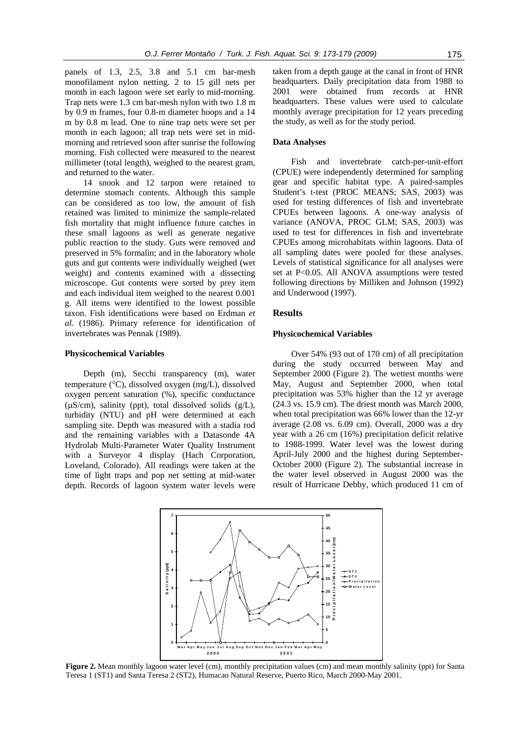panels of 1.3, 2.5, 3.8 and 5.1 cm bar-mesh monofilament nylon netting. 2 to 15 gill nets per month in each lagoon were set early to mid-morning. Trap nets were 1.3 cm bar-mesh nylon with two 1.8 m by 0.9 m frames, four 0.8-m diameter hoops and a 14 m by 0.8 m lead. One to nine trap nets were set per month in each lagoon; all trap nets were set in midmorning and retrieved soon after sunrise the following morning. Fish collected were measured to the nearest millimeter (total length), weighed to the nearest gram, and returned to the water.

14 snook and 12 tarpon were retained to determine stomach contents. Although this sample can be considered as too low, the amount of fish retained was limited to minimize the sample-related fish mortality that might influence future catches in these small lagoons as well as generate negative public reaction to the study. Guts were removed and preserved in 5% formalin; and in the laboratory whole guts and gut contents were individually weighed (wet weight) and contents examined with a dissecting microscope. Gut contents were sorted by prey item and each individual item weighed to the nearest 0.001 g. All items were identified to the lowest possible taxon. Fish identifications were based on Erdman *et al*. (1986). Primary reference for identification of invertebrates was Pennak (1989).

#### **Physicochemical Variables**

Depth (m), Secchi transparency (m), water temperature (°C), dissolved oxygen (mg/L), dissolved oxygen percent saturation (%), specific conductance ( $\mu$ S/cm), salinity (ppt), total dissolved solids ( $g/L$ ), turbidity (NTU) and pH were determined at each sampling site. Depth was measured with a stadia rod and the remaining variables with a Datasonde 4A Hydrolab Multi-Parameter Water Quality Instrument with a Surveyor 4 display (Hach Corporation, Loveland, Colorado). All readings were taken at the time of light traps and pop net setting at mid-water depth. Records of lagoon system water levels were

taken from a depth gauge at the canal in front of HNR headquarters. Daily precipitation data from 1988 to 2001 were obtained from records at HNR headquarters. These values were used to calculate monthly average precipitation for 12 years preceding the study, as well as for the study period.

## **Data Analyses**

Fish and invertebrate catch-per-unit-effort (CPUE) were independently determined for sampling gear and specific habitat type. A paired-samples Student's t-test (PROC MEANS; SAS, 2003) was used for testing differences of fish and invertebrate CPUEs between lagoons. A one-way analysis of variance (ANOVA, PROC GLM; SAS, 2003) was used to test for differences in fish and invertebrate CPUEs among microhabitats within lagoons. Data of all sampling dates were pooled for these analyses. Levels of statistical significance for all analyses were set at P<0.05. All ANOVA assumptions were tested following directions by Milliken and Johnson (1992) and Underwood (1997).

#### **Results**

#### **Physicochemical Variables**

Over 54% (93 out of 170 cm) of all precipitation during the study occurred between May and September 2000 (Figure 2). The wettest months were May, August and September 2000, when total precipitation was 53% higher than the 12 yr average (24.3 vs. 15.9 cm). The driest month was March 2000, when total precipitation was 66% lower than the 12-yr average (2.08 vs. 6.09 cm). Overall, 2000 was a dry year with a 26 cm (16%) precipitation deficit relative to 1988-1999. Water level was the lowest during April-July 2000 and the highest during September-October 2000 (Figure 2). The substantial increase in the water level observed in August 2000 was the result of Hurricane Debby, which produced 11 cm of



**Figure 2.** Mean monthly lagoon water level (cm), monthly precipitation values (cm) and mean monthly salinity (ppt) for Santa Teresa 1 (ST1) and Santa Teresa 2 (ST2), Humacao Natural Reserve, Puerto Rico, March 2000-May 2001.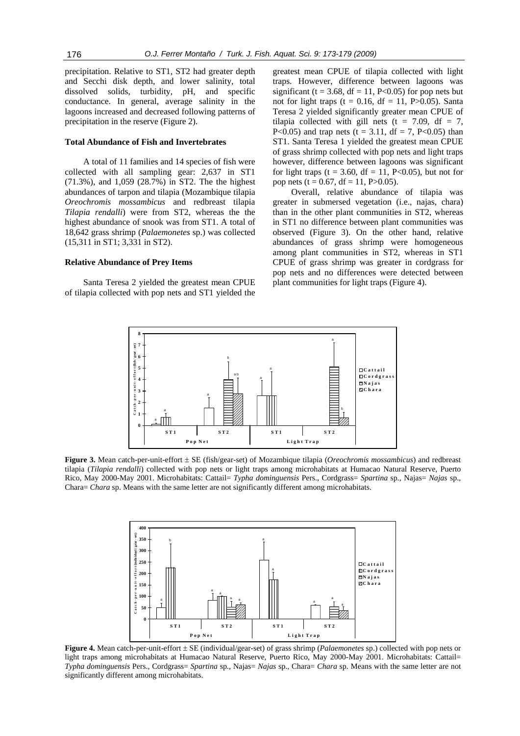precipitation. Relative to ST1, ST2 had greater depth and Secchi disk depth, and lower salinity, total dissolved solids, turbidity, pH, and specific conductance. In general, average salinity in the lagoons increased and decreased following patterns of precipitation in the reserve (Figure 2).

#### **Total Abundance of Fish and Invertebrates**

A total of 11 families and 14 species of fish were collected with all sampling gear: 2,637 in ST1 (71.3%), and 1,059 (28.7%) in ST2. The the highest abundances of tarpon and tilapia (Mozambique tilapia *Oreochromis mossambicus* and redbreast tilapia *Tilapia rendalli*) were from ST2, whereas the the highest abundance of snook was from ST1. A total of 18,642 grass shrimp (*Palaemonetes* sp.) was collected (15,311 in ST1; 3,331 in ST2).

## **Relative Abundance of Prey Items**

Santa Teresa 2 yielded the greatest mean CPUE of tilapia collected with pop nets and ST1 yielded the

greatest mean CPUE of tilapia collected with light traps. However, difference between lagoons was significant (t = 3.68, df = 11, P<0.05) for pop nets but not for light traps (t =  $0.16$ , df = 11, P $>0.05$ ). Santa Teresa 2 yielded significantly greater mean CPUE of tilapia collected with gill nets ( $t = 7.09$ , df = 7, P<0.05) and trap nets (t = 3.11, df = 7, P<0.05) than ST1. Santa Teresa 1 yielded the greatest mean CPUE of grass shrimp collected with pop nets and light traps however, difference between lagoons was significant for light traps (t = 3.60, df = 11, P<0.05), but not for pop nets (t =  $0.67$ , df = 11, P $>0.05$ ).

Overall, relative abundance of tilapia was greater in submersed vegetation (i.e., najas, chara) than in the other plant communities in ST2, whereas in ST1 no difference between plant communities was observed (Figure 3). On the other hand, relative abundances of grass shrimp were homogeneous among plant communities in ST2, whereas in ST1 CPUE of grass shrimp was greater in cordgrass for pop nets and no differences were detected between plant communities for light traps (Figure 4).



**Figure 3.** Mean catch-per-unit-effort ± SE (fish/gear-set) of Mozambique tilapia (*Oreochromis mossambicus*) and redbreast tilapia (*Tilapia rendalli*) collected with pop nets or light traps among microhabitats at Humacao Natural Reserve, Puerto Rico, May 2000-May 2001. Microhabitats: Cattail= *Typha dominguensis* Pers., Cordgrass= *Spartina* sp., Najas= *Najas* sp., Chara= *Chara* sp. Means with the same letter are not significantly different among microhabitats.



**Figure 4.** Mean catch-per-unit-effort ± SE (individual/gear-set) of grass shrimp (*Palaemonetes* sp.) collected with pop nets or light traps among microhabitats at Humacao Natural Reserve, Puerto Rico, May 2000-May 2001. Microhabitats: Cattail= *Typha dominguensis* Pers., Cordgrass= *Spartina* sp., Najas= *Najas* sp., Chara= *Chara* sp. Means with the same letter are not significantly different among microhabitats.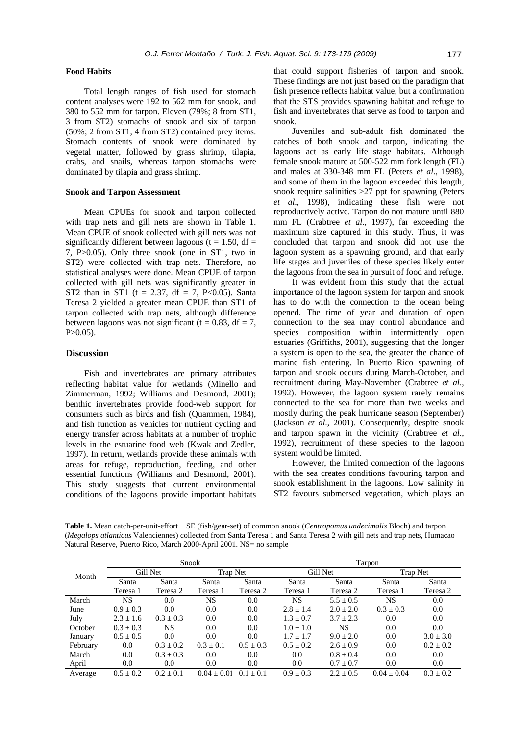### **Food Habits**

Total length ranges of fish used for stomach content analyses were 192 to 562 mm for snook, and 380 to 552 mm for tarpon. Eleven (79%; 8 from ST1, 3 from ST2) stomachs of snook and six of tarpon (50%; 2 from ST1, 4 from ST2) contained prey items. Stomach contents of snook were dominated by vegetal matter, followed by grass shrimp, tilapia, crabs, and snails, whereas tarpon stomachs were dominated by tilapia and grass shrimp.

#### **Snook and Tarpon Assessment**

Mean CPUEs for snook and tarpon collected with trap nets and gill nets are shown in Table 1. Mean CPUE of snook collected with gill nets was not significantly different between lagoons ( $t = 1.50$ , df = 7, P>0.05). Only three snook (one in ST1, two in ST2) were collected with trap nets. Therefore, no statistical analyses were done. Mean CPUE of tarpon collected with gill nets was significantly greater in ST2 than in ST1 (t = 2.37, df = 7, P<0.05). Santa Teresa 2 yielded a greater mean CPUE than ST1 of tarpon collected with trap nets, although difference between lagoons was not significant (t = 0.83, df = 7,  $P > 0.05$ ).

## **Discussion**

Fish and invertebrates are primary attributes reflecting habitat value for wetlands (Minello and Zimmerman, 1992; Williams and Desmond, 2001); benthic invertebrates provide food-web support for consumers such as birds and fish (Quammen, 1984), and fish function as vehicles for nutrient cycling and energy transfer across habitats at a number of trophic levels in the estuarine food web (Kwak and Zedler, 1997). In return, wetlands provide these animals with areas for refuge, reproduction, feeding, and other essential functions (Williams and Desmond, 2001). This study suggests that current environmental conditions of the lagoons provide important habitats that could support fisheries of tarpon and snook. These findings are not just based on the paradigm that fish presence reflects habitat value, but a confirmation that the STS provides spawning habitat and refuge to fish and invertebrates that serve as food to tarpon and snook.

Juveniles and sub-adult fish dominated the catches of both snook and tarpon, indicating the lagoons act as early life stage habitats. Although female snook mature at 500-522 mm fork length (FL) and males at 330-348 mm FL (Peters *et al*., 1998), and some of them in the lagoon exceeded this length, snook require salinities > 27 ppt for spawning (Peters *et al*., 1998), indicating these fish were not reproductively active. Tarpon do not mature until 880 mm FL (Crabtree *et al*., 1997), far exceeding the maximum size captured in this study. Thus, it was concluded that tarpon and snook did not use the lagoon system as a spawning ground, and that early life stages and juveniles of these species likely enter the lagoons from the sea in pursuit of food and refuge.

It was evident from this study that the actual importance of the lagoon system for tarpon and snook has to do with the connection to the ocean being opened. The time of year and duration of open connection to the sea may control abundance and species composition within intermittently open estuaries (Griffiths, 2001), suggesting that the longer a system is open to the sea, the greater the chance of marine fish entering. In Puerto Rico spawning of tarpon and snook occurs during March-October, and recruitment during May-November (Crabtree *et al*., 1992). However, the lagoon system rarely remains connected to the sea for more than two weeks and mostly during the peak hurricane season (September) (Jackson *et al*., 2001). Consequently, despite snook and tarpon spawn in the vicinity (Crabtree *et al*., 1992), recruitment of these species to the lagoon system would be limited.

However, the limited connection of the lagoons with the sea creates conditions favouring tarpon and snook establishment in the lagoons. Low salinity in ST2 favours submersed vegetation, which plays an

**Table 1.** Mean catch-per-unit-effort ± SE (fish/gear-set) of common snook (*Centropomus undecimalis* Bloch) and tarpon (*Megalops atlanticus* Valenciennes) collected from Santa Teresa 1 and Santa Teresa 2 with gill nets and trap nets, Humacao Natural Reserve, Puerto Rico, March 2000-April 2001. NS= no sample

| Month    | Snook         |               |               | Tarpon        |               |               |               |               |
|----------|---------------|---------------|---------------|---------------|---------------|---------------|---------------|---------------|
|          | Gill Net      |               | Trap Net      |               | Gill Net      |               | Trap Net      |               |
|          | Santa         | Santa         | Santa         | Santa         | Santa         | Santa         | Santa         | Santa         |
|          | Teresa 1      | Teresa 2      | Teresa 1      | Teresa 2      | Teresa 1      | Teresa 2      | Teresa 1      | Teresa 2      |
| March    | NS.           | 0.0           | NS.           | 0.0           | NS.           | $5.5 \pm 0.5$ | <b>NS</b>     | 0.0           |
| June     | $0.9 \pm 0.3$ | 0.0           | 0.0           | 0.0           | $2.8 \pm 1.4$ | $2.0 + 2.0$   | $0.3 + 0.3$   | 0.0           |
| July     | $2.3 \pm 1.6$ | $0.3 + 0.3$   | 0.0           | 0.0           | $1.3 + 0.7$   | $3.7 + 2.3$   | 0.0           | 0.0           |
| October  | $0.3 \pm 0.3$ | <b>NS</b>     | 0.0           | 0.0           | $1.0 \pm 1.0$ | <b>NS</b>     | 0.0           | 0.0           |
| January  | $0.5 \pm 0.5$ | 0.0           | 0.0           | 0.0           | $1.7 \pm 1.7$ | $9.0 + 2.0$   | 0.0           | $3.0 \pm 3.0$ |
| February | 0.0           | $0.3 \pm 0.2$ | $0.3 + 0.1$   | $0.5 \pm 0.3$ | $0.5 + 0.2$   | $2.6 + 0.9$   | 0.0           | $0.2 \pm 0.2$ |
| March    | 0.0           | $0.3 + 0.3$   | 0.0           | 0.0           | $0.0\,$       | $0.8 + 0.4$   | 0.0           | 0.0           |
| April    | 0.0           | 0.0           | 0.0           | 0.0           | $0.0\,$       | $0.7 \pm 0.7$ | 0.0           | $0.0\,$       |
| Average  | $0.5 \pm 0.2$ | $0.2 \pm 0.1$ | $0.04 + 0.01$ | $0.1 + 0.1$   | $0.9 + 0.3$   | $2.2 + 0.5$   | $0.04 + 0.04$ | $0.3 + 0.2$   |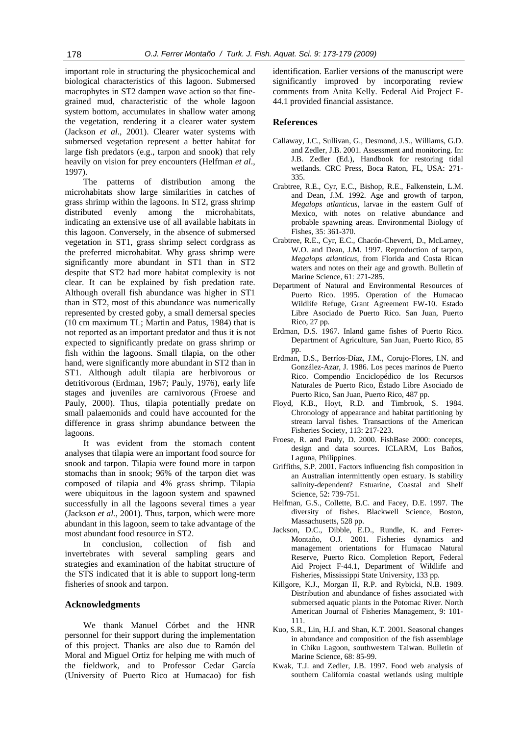important role in structuring the physicochemical and biological characteristics of this lagoon. Submersed macrophytes in ST2 dampen wave action so that finegrained mud, characteristic of the whole lagoon system bottom, accumulates in shallow water among the vegetation, rendering it a clearer water system (Jackson *et al*., 2001). Clearer water systems with submersed vegetation represent a better habitat for large fish predators (e.g., tarpon and snook) that rely heavily on vision for prey encounters (Helfman *et al*., 1997).

The patterns of distribution among the microhabitats show large similarities in catches of grass shrimp within the lagoons. In ST2, grass shrimp distributed evenly among the microhabitats, indicating an extensive use of all available habitats in this lagoon. Conversely, in the absence of submersed vegetation in ST1, grass shrimp select cordgrass as the preferred microhabitat. Why grass shrimp were significantly more abundant in ST1 than in ST2 despite that ST2 had more habitat complexity is not clear. It can be explained by fish predation rate. Although overall fish abundance was higher in ST1 than in ST2, most of this abundance was numerically represented by crested goby, a small demersal species (10 cm maximum TL; Martin and Patus, 1984) that is not reported as an important predator and thus it is not expected to significantly predate on grass shrimp or fish within the lagoons. Small tilapia, on the other hand, were significantly more abundant in ST2 than in ST1. Although adult tilapia are herbivorous or detritivorous (Erdman, 1967; Pauly, 1976), early life stages and juveniles are carnivorous (Froese and Pauly, 2000). Thus, tilapia potentially predate on small palaemonids and could have accounted for the difference in grass shrimp abundance between the lagoons.

It was evident from the stomach content analyses that tilapia were an important food source for snook and tarpon. Tilapia were found more in tarpon stomachs than in snook; 96% of the tarpon diet was composed of tilapia and 4% grass shrimp. Tilapia were ubiquitous in the lagoon system and spawned successfully in all the lagoons several times a year (Jackson *et al.*, 2001). Thus, tarpon, which were more abundant in this lagoon, seem to take advantage of the most abundant food resource in ST2.

In conclusion, collection of fish and invertebrates with several sampling gears and strategies and examination of the habitat structure of the STS indicated that it is able to support long-term fisheries of snook and tarpon.

# **Acknowledgments**

We thank Manuel Córbet and the HNR personnel for their support during the implementation of this project. Thanks are also due to Ramón del Moral and Miguel Ortiz for helping me with much of the fieldwork, and to Professor Cedar García (University of Puerto Rico at Humacao) for fish

identification. Earlier versions of the manuscript were significantly improved by incorporating review comments from Anita Kelly. Federal Aid Project F-44.1 provided financial assistance.

## **References**

- Callaway, J.C., Sullivan, G., Desmond, J.S., Williams, G.D. and Zedler, J.B. 2001. Assessment and monitoring. In: J.B. Zedler (Ed.), Handbook for restoring tidal wetlands*.* CRC Press, Boca Raton, FL, USA: 271- 335.
- Crabtree, R.E., Cyr, E.C., Bishop, R.E., Falkenstein, L.M. and Dean, J.M. 1992. Age and growth of tarpon, *Megalops atlanticus*, larvae in the eastern Gulf of Mexico, with notes on relative abundance and probable spawning areas. Environmental Biology of Fishes, 35: 361-370.
- Crabtree, R.E., Cyr, E.C., Chacón-Cheverri, D., McLarney, W.O. and Dean, J.M. 1997. Reproduction of tarpon, *Megalops atlanticus*, from Florida and Costa Rican waters and notes on their age and growth. Bulletin of Marine Science, 61: 271-285.
- Department of Natural and Environmental Resources of Puerto Rico. 1995. Operation of the Humacao Wildlife Refuge, Grant Agreement FW-10. Estado Libre Asociado de Puerto Rico. San Juan, Puerto Rico, 27 pp.
- Erdman, D.S. 1967. Inland game fishes of Puerto Rico*.* Department of Agriculture, San Juan, Puerto Rico, 85 pp.
- Erdman, D.S., Berríos-Díaz, J.M., Corujo-Flores, I.N. and González-Azar, J. 1986. Los peces marinos de Puerto Rico. Compendio Enciclopédico de los Recursos Naturales de Puerto Rico, Estado Libre Asociado de Puerto Rico, San Juan, Puerto Rico, 487 pp.
- Floyd, K.B., Hoyt, R.D. and Timbrook, S. 1984. Chronology of appearance and habitat partitioning by stream larval fishes. Transactions of the American Fisheries Society, 113: 217-223.
- Froese, R. and Pauly, D. 2000. FishBase 2000: concepts, design and data sources. ICLARM, Los Baños, Laguna, Philippines.
- Griffiths, S.P. 2001. Factors influencing fish composition in an Australian intermittently open estuary. Is stability salinity-dependent? Estuarine, Coastal and Shelf Science, 52: 739-751.
- Helfman, G.S., Collette, B.C. and Facey, D.E. 1997. The diversity of fishes. Blackwell Science, Boston, Massachusetts, 528 pp.
- Jackson, D.C., Dibble, E.D., Rundle, K. and Ferrer-Montaño, O.J. 2001. Fisheries dynamics and management orientations for Humacao Natural Reserve, Puerto Rico. Completion Report, Federal Aid Project F-44.1*,* Department of Wildlife and Fisheries, Mississippi State University, 133 pp.
- Killgore, K.J., Morgan II, R.P. and Rybicki, N.B. 1989. Distribution and abundance of fishes associated with submersed aquatic plants in the Potomac River. North American Journal of Fisheries Management, 9: 101- 111.
- Kuo, S.R., Lin, H.J. and Shan, K.T. 2001. Seasonal changes in abundance and composition of the fish assemblage in Chiku Lagoon, southwestern Taiwan. Bulletin of Marine Science, 68: 85-99.
- Kwak, T.J. and Zedler, J.B. 1997. Food web analysis of southern California coastal wetlands using multiple